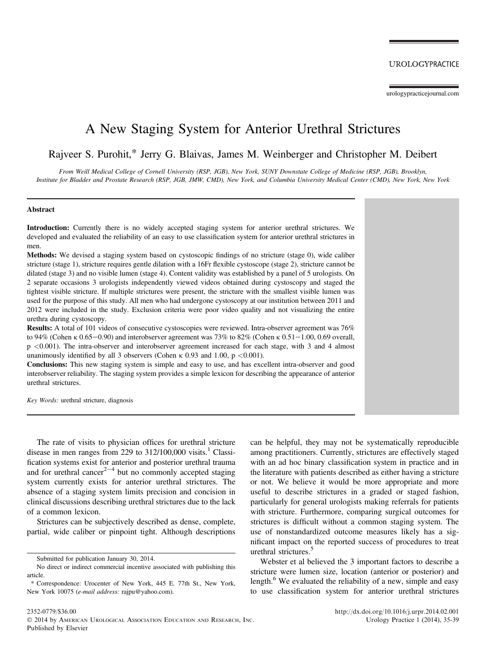# A New Staging System for Anterior Urethral Strictures

Rajveer S. Purohit,\* Jerry G. Blaivas, James M. Weinberger and Christopher M. Deibert

From Weill Medical College of Cornell University (RSP, JGB), New York, SUNY Downstate College of Medicine (RSP, JGB), Brooklyn, Institute for Bladder and Prostate Research (RSP, JGB, JMW, CMD), New York, and Columbia University Medical Center (CMD), New York, New York

#### Abstract

Introduction: Currently there is no widely accepted staging system for anterior urethral strictures. We developed and evaluated the reliability of an easy to use classification system for anterior urethral strictures in men.

Methods: We devised a staging system based on cystoscopic findings of no stricture (stage 0), wide caliber stricture (stage 1), stricture requires gentle dilation with a 16Fr flexible cystoscope (stage 2), stricture cannot be dilated (stage 3) and no visible lumen (stage 4). Content validity was established by a panel of 5 urologists. On 2 separate occasions 3 urologists independently viewed videos obtained during cystoscopy and staged the tightest visible stricture. If multiple strictures were present, the stricture with the smallest visible lumen was used for the purpose of this study. All men who had undergone cystoscopy at our institution between 2011 and 2012 were included in the study. Exclusion criteria were poor video quality and not visualizing the entire urethra during cystoscopy.

Results: A total of 101 videos of consecutive cystoscopies were reviewed. Intra-observer agreement was 76% to 94% (Cohen k 0.65-0.90) and interobserver agreement was 73% to 82% (Cohen k 0.51-1.00, 0.69 overall, p <0.001). The intra-observer and interobserver agreement increased for each stage, with 3 and 4 almost unanimously identified by all 3 observers (Cohen  $\kappa$  0.93 and 1.00, p <0.001).

Conclusions: This new staging system is simple and easy to use, and has excellent intra-observer and good interobserver reliability. The staging system provides a simple lexicon for describing the appearance of anterior urethral strictures.

Key Words: urethral stricture, diagnosis

The rate of visits to physician offices for urethral stricture disease in men ranges from 229 to  $312/100,000$  $312/100,000$  $312/100,000$  visits.<sup>1</sup> Classification systems exist for anterior and posterior urethral trauma and for urethral cancer<sup>[2](#page-3-0)-[4](#page-3-0)</sup> but no commonly accepted staging system currently exists for anterior urethral strictures. The absence of a staging system limits precision and concision in clinical discussions describing urethral strictures due to the lack of a common lexicon.

Strictures can be subjectively described as dense, complete, partial, wide caliber or pinpoint tight. Although descriptions

can be helpful, they may not be systematically reproducible among practitioners. Currently, strictures are effectively staged with an ad hoc binary classification system in practice and in the literature with patients described as either having a stricture or not. We believe it would be more appropriate and more useful to describe strictures in a graded or staged fashion, particularly for general urologists making referrals for patients with stricture. Furthermore, comparing surgical outcomes for strictures is difficult without a common staging system. The use of nonstandardized outcome measures likely has a significant impact on the reported success of procedures to treat urethral strictures.<sup>[5](#page-3-0)</sup>

Webster et al believed the 3 important factors to describe a stricture were lumen size, location (anterior or posterior) and length.<sup>[6](#page-3-0)</sup> We evaluated the reliability of a new, simple and easy to use classification system for anterior urethral strictures

Submitted for publication January 30, 2014.

No direct or indirect commercial incentive associated with publishing this article.

<sup>\*</sup> Correspondence: Urocenter of New York, 445 E. 77th St., New York, New York 10075 (e-mail address: [rajpu@yahoo.com\)](mailto:rajpu@yahoo.com).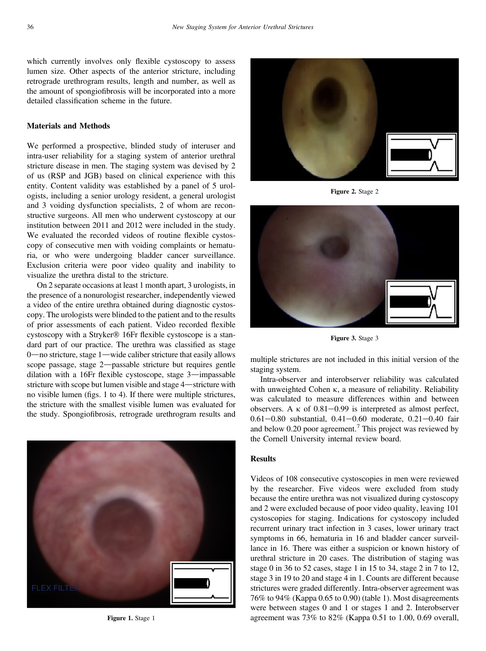which currently involves only flexible cystoscopy to assess lumen size. Other aspects of the anterior stricture, including retrograde urethrogram results, length and number, as well as the amount of spongiofibrosis will be incorporated into a more detailed classification scheme in the future.

# Materials and Methods

We performed a prospective, blinded study of interuser and intra-user reliability for a staging system of anterior urethral stricture disease in men. The staging system was devised by 2 of us (RSP and JGB) based on clinical experience with this entity. Content validity was established by a panel of 5 urologists, including a senior urology resident, a general urologist and 3 voiding dysfunction specialists, 2 of whom are reconstructive surgeons. All men who underwent cystoscopy at our institution between 2011 and 2012 were included in the study. We evaluated the recorded videos of routine flexible cystoscopy of consecutive men with voiding complaints or hematuria, or who were undergoing bladder cancer surveillance. Exclusion criteria were poor video quality and inability to visualize the urethra distal to the stricture.

On 2 separate occasions at least 1 month apart, 3 urologists, in the presence of a nonurologist researcher, independently viewed a video of the entire urethra obtained during diagnostic cystoscopy. The urologists were blinded to the patient and to the results of prior assessments of each patient. Video recorded flexible cystoscopy with a Stryker® 16Fr flexible cystoscope is a standard part of our practice. The urethra was classified as stage  $0$ —no stricture, stage  $1$ —wide caliber stricture that easily allows scope passage, stage 2-passable stricture but requires gentle dilation with a 16Fr flexible cystoscope, stage  $3$ —impassable stricture with scope but lumen visible and stage 4—stricture with no visible lumen (figs. 1 to 4). If there were multiple strictures, the stricture with the smallest visible lumen was evaluated for the study. Spongiofibrosis, retrograde urethrogram results and





Figure 2. Stage 2



Figure 3. Stage 3

multiple strictures are not included in this initial version of the staging system.

Intra-observer and interobserver reliability was calculated with unweighted Cohen  $\kappa$ , a measure of reliability. Reliability was calculated to measure differences within and between observers. A  $\kappa$  of 0.81–0.99 is interpreted as almost perfect,  $0.61 - 0.80$  substantial,  $0.41 - 0.60$  moderate,  $0.21 - 0.40$  fair and below 0.20 poor agreement.<sup>[7](#page-3-0)</sup> This project was reviewed by the Cornell University internal review board.

# **Results**

Videos of 108 consecutive cystoscopies in men were reviewed by the researcher. Five videos were excluded from study because the entire urethra was not visualized during cystoscopy and 2 were excluded because of poor video quality, leaving 101 cystoscopies for staging. Indications for cystoscopy included recurrent urinary tract infection in 3 cases, lower urinary tract symptoms in 66, hematuria in 16 and bladder cancer surveillance in 16. There was either a suspicion or known history of urethral stricture in 20 cases. The distribution of staging was stage 0 in 36 to 52 cases, stage 1 in 15 to 34, stage 2 in 7 to 12, stage 3 in 19 to 20 and stage 4 in 1. Counts are different because strictures were graded differently. Intra-observer agreement was 76% to 94% (Kappa 0.65 to 0.90) [\(table 1\)](#page-2-0). Most disagreements were between stages 0 and 1 or stages 1 and 2. Interobserver Figure 1. Stage 1 agreement was 73% to 82% (Kappa 0.51 to 1.00, 0.69 overall,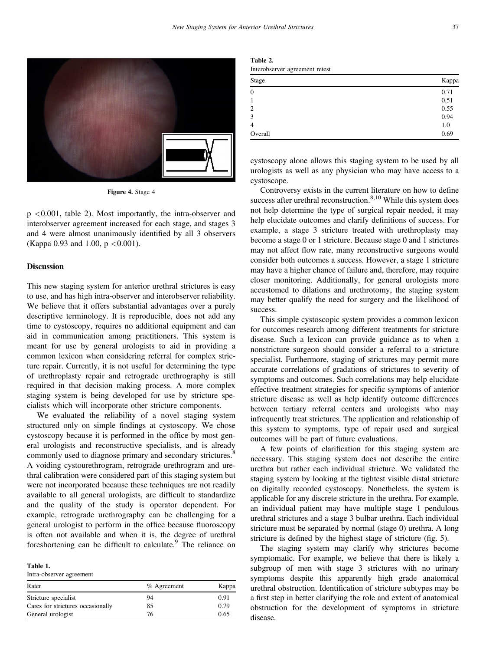<span id="page-2-0"></span>

Figure 4. Stage 4

p <0.001, table 2). Most importantly, the intra-observer and interobserver agreement increased for each stage, and stages 3 and 4 were almost unanimously identified by all 3 observers (Kappa 0.93 and 1.00,  $p < 0.001$ ).

#### Discussion

This new staging system for anterior urethral strictures is easy to use, and has high intra-observer and interobserver reliability. We believe that it offers substantial advantages over a purely descriptive terminology. It is reproducible, does not add any time to cystoscopy, requires no additional equipment and can aid in communication among practitioners. This system is meant for use by general urologists to aid in providing a common lexicon when considering referral for complex stricture repair. Currently, it is not useful for determining the type of urethroplasty repair and retrograde urethrography is still required in that decision making process. A more complex staging system is being developed for use by stricture specialists which will incorporate other stricture components.

We evaluated the reliability of a novel staging system structured only on simple findings at cystoscopy. We chose cystoscopy because it is performed in the office by most general urologists and reconstructive specialists, and is already commonly used to diagnose primary and secondary strictures.<sup>[8](#page-3-0)</sup> A voiding cystourethrogram, retrograde urethrogram and urethral calibration were considered part of this staging system but were not incorporated because these techniques are not readily available to all general urologists, are difficult to standardize and the quality of the study is operator dependent. For example, retrograde urethrography can be challenging for a general urologist to perform in the office because fluoroscopy is often not available and when it is, the degree of urethral foreshortening can be difficult to calculate.<sup>[9](#page-3-0)</sup> The reliance on

Intra-observer agreement

| Rater                             | $%$ Agreement | Kappa |
|-----------------------------------|---------------|-------|
| Stricture specialist              | 94            | 0.91  |
| Cares for strictures occasionally | 85            | 0.79  |
| General urologist                 | 76            | 0.65  |
|                                   |               |       |

Table 2. Interobserver agreement retest

| Kappa |
|-------|
| 0.71  |
| 0.51  |
| 0.55  |
| 0.94  |
| 1.0   |
| 0.69  |
|       |

cystoscopy alone allows this staging system to be used by all urologists as well as any physician who may have access to a cystoscope.

Controversy exists in the current literature on how to define success after urethral reconstruction. $8,10$  While this system does not help determine the type of surgical repair needed, it may help elucidate outcomes and clarify definitions of success. For example, a stage 3 stricture treated with urethroplasty may become a stage 0 or 1 stricture. Because stage 0 and 1 strictures may not affect flow rate, many reconstructive surgeons would consider both outcomes a success. However, a stage 1 stricture may have a higher chance of failure and, therefore, may require closer monitoring. Additionally, for general urologists more accustomed to dilations and urethrotomy, the staging system may better qualify the need for surgery and the likelihood of success.

This simple cystoscopic system provides a common lexicon for outcomes research among different treatments for stricture disease. Such a lexicon can provide guidance as to when a nonstricture surgeon should consider a referral to a stricture specialist. Furthermore, staging of strictures may permit more accurate correlations of gradations of strictures to severity of symptoms and outcomes. Such correlations may help elucidate effective treatment strategies for specific symptoms of anterior stricture disease as well as help identify outcome differences between tertiary referral centers and urologists who may infrequently treat strictures. The application and relationship of this system to symptoms, type of repair used and surgical outcomes will be part of future evaluations.

A few points of clarification for this staging system are necessary. This staging system does not describe the entire urethra but rather each individual stricture. We validated the staging system by looking at the tightest visible distal stricture on digitally recorded cystoscopy. Nonetheless, the system is applicable for any discrete stricture in the urethra. For example, an individual patient may have multiple stage 1 pendulous urethral strictures and a stage 3 bulbar urethra. Each individual stricture must be separated by normal (stage 0) urethra. A long stricture is defined by the highest stage of stricture (fi[g. 5](#page-3-0)).

The staging system may clarify why strictures become symptomatic. For example, we believe that there is likely a subgroup of men with stage 3 strictures with no urinary symptoms despite this apparently high grade anatomical urethral obstruction. Identification of stricture subtypes may be a first step in better clarifying the role and extent of anatomical obstruction for the development of symptoms in stricture disease.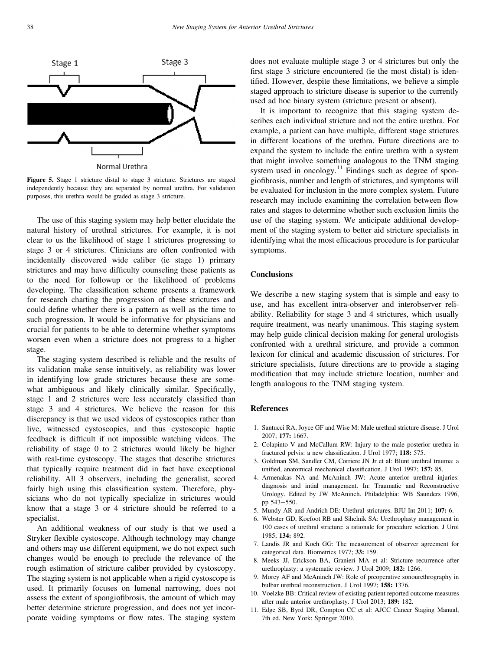<span id="page-3-0"></span>



The use of this staging system may help better elucidate the natural history of urethral strictures. For example, it is not clear to us the likelihood of stage 1 strictures progressing to stage 3 or 4 strictures. Clinicians are often confronted with incidentally discovered wide caliber (ie stage 1) primary strictures and may have difficulty counseling these patients as to the need for followup or the likelihood of problems developing. The classification scheme presents a framework for research charting the progression of these strictures and could define whether there is a pattern as well as the time to such progression. It would be informative for physicians and crucial for patients to be able to determine whether symptoms worsen even when a stricture does not progress to a higher stage.

The staging system described is reliable and the results of its validation make sense intuitively, as reliability was lower in identifying low grade strictures because these are somewhat ambiguous and likely clinically similar. Specifically, stage 1 and 2 strictures were less accurately classified than stage 3 and 4 strictures. We believe the reason for this discrepancy is that we used videos of cystoscopies rather than live, witnessed cystoscopies, and thus cystoscopic haptic feedback is difficult if not impossible watching videos. The reliability of stage 0 to 2 strictures would likely be higher with real-time cystoscopy. The stages that describe strictures that typically require treatment did in fact have exceptional reliability. All 3 observers, including the generalist, scored fairly high using this classification system. Therefore, physicians who do not typically specialize in strictures would know that a stage 3 or 4 stricture should be referred to a specialist.

An additional weakness of our study is that we used a Stryker flexible cystoscope. Although technology may change and others may use different equipment, we do not expect such changes would be enough to preclude the relevance of the rough estimation of stricture caliber provided by cystoscopy. The staging system is not applicable when a rigid cystoscope is used. It primarily focuses on lumenal narrowing, does not assess the extent of spongiofibrosis, the amount of which may better determine stricture progression, and does not yet incorporate voiding symptoms or flow rates. The staging system does not evaluate multiple stage 3 or 4 strictures but only the first stage 3 stricture encountered (ie the most distal) is identified. However, despite these limitations, we believe a simple staged approach to stricture disease is superior to the currently used ad hoc binary system (stricture present or absent).

It is important to recognize that this staging system describes each individual stricture and not the entire urethra. For example, a patient can have multiple, different stage strictures in different locations of the urethra. Future directions are to expand the system to include the entire urethra with a system that might involve something analogous to the TNM staging system used in oncology. $11$  Findings such as degree of spongiofibrosis, number and length of strictures, and symptoms will be evaluated for inclusion in the more complex system. Future research may include examining the correlation between flow rates and stages to determine whether such exclusion limits the use of the staging system. We anticipate additional development of the staging system to better aid stricture specialists in identifying what the most efficacious procedure is for particular symptoms.

# **Conclusions**

We describe a new staging system that is simple and easy to use, and has excellent intra-observer and interobserver reliability. Reliability for stage 3 and 4 strictures, which usually require treatment, was nearly unanimous. This staging system may help guide clinical decision making for general urologists confronted with a urethral stricture, and provide a common lexicon for clinical and academic discussion of strictures. For stricture specialists, future directions are to provide a staging modification that may include stricture location, number and length analogous to the TNM staging system.

#### **References**

- 1. Santucci RA, Joyce GF and Wise M: Male urethral stricture disease. J Urol 2007; 177: 1667.
- 2. Colapinto V and McCallum RW: Injury to the male posterior urethra in fractured pelvis: a new classification. J Urol 1977; 118: 575.
- 3. Goldman SM, Sandler CM, Corriere JN Jr et al: Blunt urethral trauma: a unified, anatomical mechanical classification. J Urol 1997; 157: 85.
- 4. Armenakas NA and McAninch JW: Acute anterior urethral injuries: diagnosis and intial management. In: Traumatic and Reconstructive Urology. Edited by JW McAninch. Philadelphia: WB Saunders 1996, pp 543-550.
- 5. Mundy AR and Andrich DE: Urethral strictures. BJU Int 2011; 107: 6.
- 6. Webster GD, Koefoot RB and Sihelnik SA: Urethroplasty management in 100 cases of urethral stricture: a rationale for procedure selection. J Urol 1985; 134: 892.
- 7. Landis JR and Koch GG: The measurement of observer agreement for categorical data. Biometrics 1977; 33: 159.
- 8. Meeks JJ, Erickson BA, Granieri MA et al: Stricture recurrence after urethroplasty: a systematic review. J Urol 2009; 182: 1266.
- 9. Morey AF and McAninch JW: Role of preoperative sonourethrography in bulbar urethral reconstruction. J Urol 1997; 158: 1376.
- 10. Voelzke BB: Critical review of existing patient reported outcome measures after male anterior urethroplasty. J Urol 2013; 189: 182.
- 11. Edge SB, Byrd DR, Compton CC et al: AJCC Cancer Staging Manual, 7th ed. New York: Springer 2010.